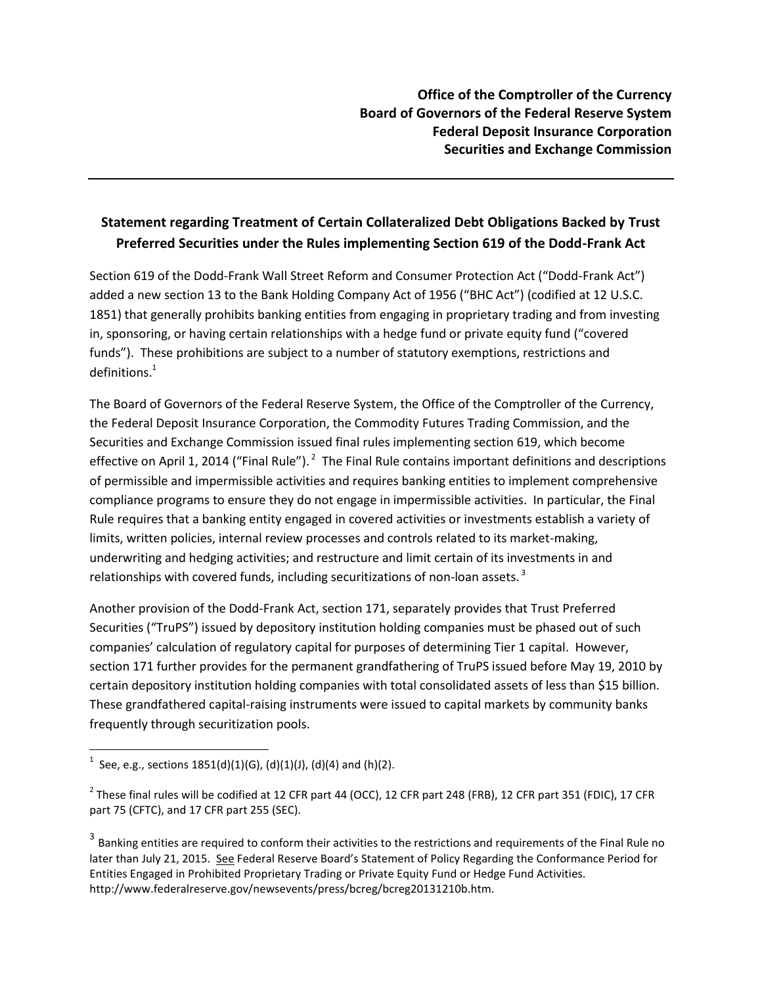## **Statement regarding Treatment of Certain Collateralized Debt Obligations Backed by Trust Preferred Securities under the Rules implementing Section 619 of the Dodd-Frank Act**

Section 619 of the Dodd-Frank Wall Street Reform and Consumer Protection Act ("Dodd-Frank Act") added a new section 13 to the Bank Holding Company Act of 1956 ("BHC Act") (codified at 12 U.S.C. 1851) that generally prohibits banking entities from engaging in proprietary trading and from investing in, sponsoring, or having certain relationships with a hedge fund or private equity fund ("covered funds"). These prohibitions are subject to a number of statutory exemptions, restrictions and  $d$ efinitions. $1$ 

The Board of Governors of the Federal Reserve System, the Office of the Comptroller of the Currency, the Federal Deposit Insurance Corporation, the Commodity Futures Trading Commission, and the Securities and Exchange Commission issued final rules implementing section 619, which become effective on April 1, 2014 ("Final Rule").  $^2$  The Final Rule contains important definitions and descriptions of permissible and impermissible activities and requires banking entities to implement comprehensive compliance programs to ensure they do not engage in impermissible activities. In particular, the Final Rule requires that a banking entity engaged in covered activities or investments establish a variety of limits, written policies, internal review processes and controls related to its market-making, underwriting and hedging activities; and restructure and limit certain of its investments in and relationships with covered funds, including securitizations of non-loan assets.<sup>3</sup>

Another provision of the Dodd-Frank Act, section 171, separately provides that Trust Preferred Securities ("TruPS") issued by depository institution holding companies must be phased out of such companies' calculation of regulatory capital for purposes of determining Tier 1 capital. However, section 171 further provides for the permanent grandfathering of TruPS issued before May 19, 2010 by certain depository institution holding companies with total consolidated assets of less than \$15 billion. These grandfathered capital-raising instruments were issued to capital markets by community banks frequently through securitization pools.

<sup>1</sup> See, e.g., sections 1851(d)(1)(G), (d)(1)(J), (d)(4) and (h)(2).

<sup>&</sup>lt;sup>2</sup> These final rules will be codified at 12 CFR part 44 (OCC), 12 CFR part 248 (FRB), 12 CFR part 351 (FDIC), 17 CFR part 75 (CFTC), and 17 CFR part 255 (SEC).

 $^3$  Banking entities are required to conform their activities to the restrictions and requirements of the Final Rule no later than July 21, 2015. See Federal Reserve Board's Statement of Policy Regarding the Conformance Period for Entities Engaged in Prohibited Proprietary Trading or Private Equity Fund or Hedge Fund Activities. http://www.federalreserve.gov/newsevents/press/bcreg/bcreg20131210b.htm.